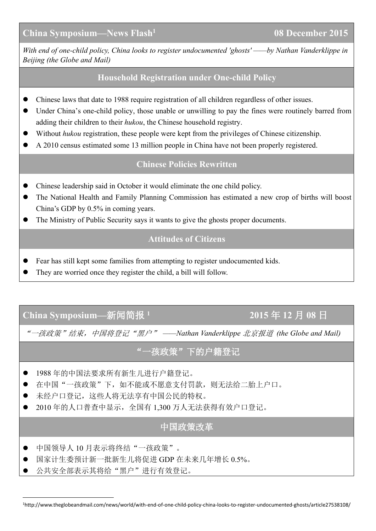*With end of one-child policy, China looks to register undocumented 'ghosts' ——by Nathan [Vanderklippe](http://www.theglobeandmail.com/authors/nathan-vanderklippe) in Beijing (the Globe and Mail)*

### **Household Registration under One-child Policy**

- Chinese laws that date to 1988 require registration of all children regardless of other issues.
- Under China's one-child policy, those unable or unwilling to pay the fines were routinely barred from adding their children to their *hukou*, the Chinese household registry.
- Without *hukou* registration, these people were kept from the privileges of Chinese citizenship.
- A 2010 census estimated some 13 million people in China have not been properly registered.

#### **Chinese Policies Rewritten**

- Chinese leadership said in October itwould eliminate the one child policy.
- The National Health and Family Planning Commission has estimated a new crop of births will boost China's GDP by 0.5% in coming years.
- The Ministry of Public Security says it wants to give the ghosts proper documents.

### **Attitudes of Citizens**

- Fear has still kept some families from attempting to register undocumented kids.
- They are worried once they register the child, a bill will follow.

# **China Symposium—**新闻简报 **<sup>1</sup> 2015** 年 **12** 月 **08** 日

"一孩政策"结束,中国将登记"黑户" *——Nathan [Vanderklippe](http://www.theglobeandmail.com/authors/nathan-vanderklippe)* 北京报道 *(the Globe and Mail)*

## "一孩政策"下的户籍登记

- 1988 年的中国法要求所有新生儿进行户籍登记。
- 在中国"一孩政策"下,如不能或不愿意支付罚款,则无法给二胎上户口。
- 未经户口登记,这些人将无法享有中国公民的特权。
- 2010 年的人口普查中显示, 全国有 1,300 万人无法获得有效户口登记。

### 中国政策改革

- 中国领导人 10 月表示将终结"一孩政策"。
- 国家计生委预计新一批新生儿将促进 GDP 在未来几年增长 0.5%。
- <span id="page-0-0"></span>公共安全部表示其将给"黑户"进行有效登记。